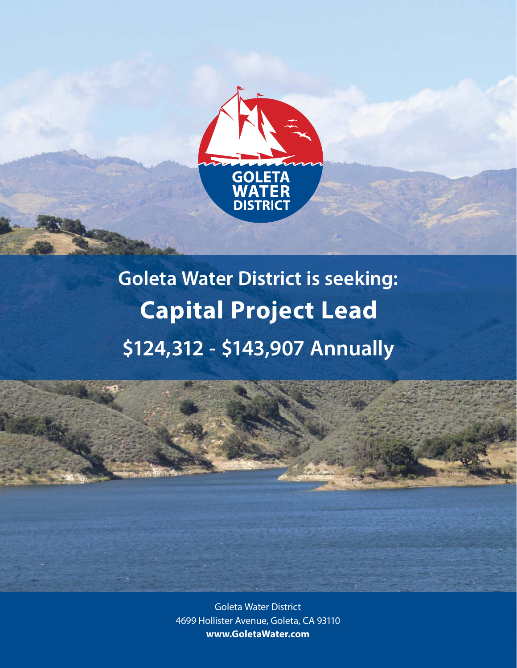

# **Goleta Water District is seeking: Capital Project Lead \$124,312 - \$143,907 Annually**

Goleta Water District 4699 Hollister Avenue, Goleta, CA 93110 **www.GoletaWater.com**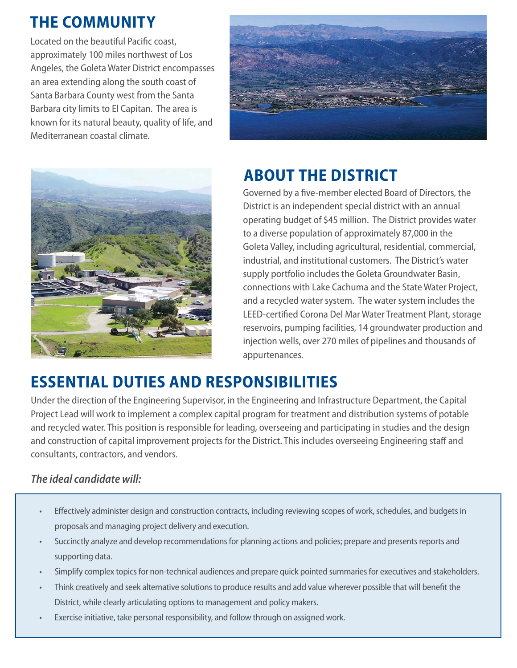# **THE COMMUNITY**

Located on the beautiful Pacific coast, approximately 100 miles northwest of Los Angeles, the Goleta Water District encompasses an area extending along the south coast of Santa Barbara County west from the Santa Barbara city limits to El Capitan. The area is known for its natural beauty, quality of life, and Mediterranean coastal climate.





# **ABOUT THE DISTRICT**

Governed by a five-member elected Board of Directors, the District is an independent special district with an annual operating budget of \$45 million. The District provides water to a diverse population of approximately 87,000 in the Goleta Valley, including agricultural, residential, commercial, industrial, and institutional customers. The District's water supply portfolio includes the Goleta Groundwater Basin, connections with Lake Cachuma and the State Water Project, and a recycled water system. The water system includes the LEED-certified Corona Del Mar Water Treatment Plant, storage reservoirs, pumping facilities, 14 groundwater production and injection wells, over 270 miles of pipelines and thousands of appurtenances.

# **ESSENTIAL DUTIES AND RESPONSIBILITIES**

Under the direction of the Engineering Supervisor, in the Engineering and Infrastructure Department, the Capital Project Lead will work to implement a complex capital program for treatment and distribution systems of potable and recycled water. This position is responsible for leading, overseeing and participating in studies and the design and construction of capital improvement projects for the District. This includes overseeing Engineering staff and consultants, contractors, and vendors.

### **The ideal candidate will:**

- Effectively administer design and construction contracts, including reviewing scopes of work, schedules, and budgets in proposals and managing project delivery and execution.
- Succinctly analyze and develop recommendations for planning actions and policies; prepare and presents reports and supporting data.
- Simplify complex topics for non-technical audiences and prepare quick pointed summaries for executives and stakeholders.
- Think creatively and seek alternative solutions to produce results and add value wherever possible that will benefit the District, while clearly articulating options to management and policy makers.
- Exercise initiative, take personal responsibility, and follow through on assigned work.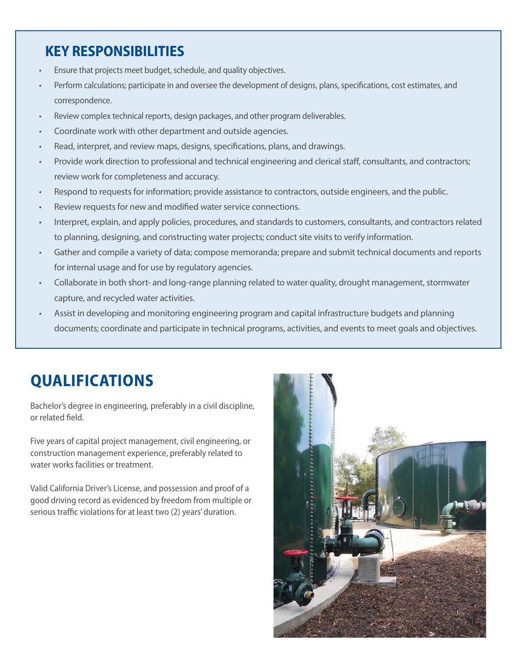### **KEY RESPONSIBILITIES**

- Ensure that projects meet budget, schedule, and quality objectives.
- Perform calculations; participate in and oversee the development of designs, plans, specifications, cost estimates, and correspondence.
- Review complex technical reports, design packages, and other program deliverables.
- Coordinate work with other department and outside agencies.
- Read, interpret, and review maps, designs, specifications, plans, and drawings.
- Provide work direction to professional and technical engineering and clerical staff, consultants, and contractors; review work for completeness and accuracy.
- Respond to requests for information; provide assistance to contractors, outside engineers, and the public.
- Review requests for new and modified water service connections.
- Interpret, explain, and apply policies, procedures, and standards to customers, consultants, and contractors related to planning, designing, and constructing water projects; conduct site visits to verify information.
- Gather and compile a variety of data; compose memoranda; prepare and submit technical documents and reports for internal usage and for use by regulatory agencies.
- Collaborate in both short- and long-range planning related to water quality, drought management, stormwater capture, and recycled water activities.
- Assist in developing and monitoring engineering program and capital infrastructure budgets and planning documents; coordinate and participate in technical programs, activities, and events to meet goals and objectives.

### **QUALIFICATIONS**

Bachelor's degree in engineering, preferably in a civil discipline, or related field.

Five years of capital project management, civil engineering, or construction management experience, preferably related to water works facilities or treatment.

Valid California Driver's License, and possession and proof of a good driving record as evidenced by freedom from multiple or serious traffic violations for at least two (2) years' duration.

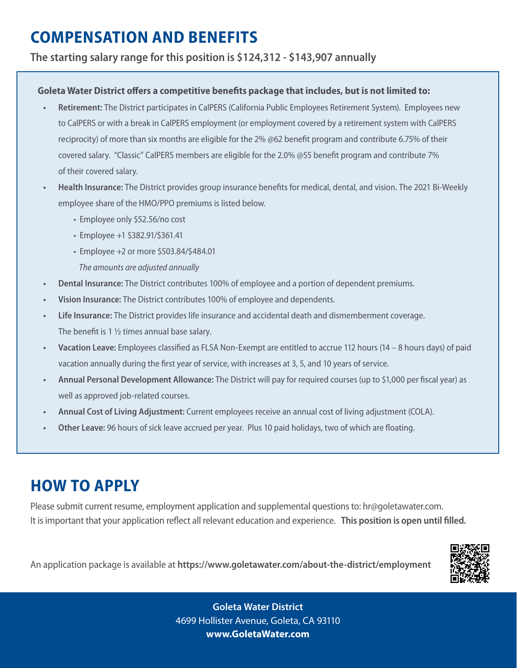## **COMPENSATION AND BENEFITS**

**The starting salary range for this position is \$124,312 - \$143,907 annually**

#### **Goleta Water District offers a competitive benefits package that includes, but is not limited to:**

- **Retirement:** The District participates in CalPERS (California Public Employees Retirement System). Employees new to CalPERS or with a break in CalPERS employment (or employment covered by a retirement system with CalPERS reciprocity) of more than six months are eligible for the 2% @62 benefit program and contribute 6.75% of their covered salary. "Classic" CalPERS members are eligible for the 2.0% @55 benefit program and contribute 7% of their covered salary.
- **Health Insurance:** The District provides group insurance benefits for medical, dental, and vision. The 2021 Bi-Weekly employee share of the HMO/PPO premiums is listed below.
	- Employee only \$52.56/no cost
	- Employee +1 \$382.91/\$361.41
	- Employee +2 or more \$503.84/\$484.01
	- The amounts are adjusted annually
- **Dental Insurance:** The District contributes 100% of employee and a portion of dependent premiums.
- **Vision Insurance:** The District contributes 100% of employee and dependents.
- **• Life Insurance:** The District provides life insurance and accidental death and dismemberment coverage. The benefit is 1 ½ times annual base salary.
- **Vacation Leave:** Employees classified as FLSA Non-Exempt are entitled to accrue 112 hours (14 8 hours days) of paid vacation annually during the first year of service, with increases at 3, 5, and 10 years of service.
- **Annual Personal Development Allowance:** The District will pay for required courses (up to \$1,000 per fiscal year) as well as approved job-related courses.
- **Annual Cost of Living Adjustment:** Current employees receive an annual cost of living adjustment (COLA).
- **Other Leave:** 96 hours of sick leave accrued per year. Plus 10 paid holidays, two of which are floating.

### **HOW TO APPLY**

Please submit current resume, employment application and supplemental questions to: hr@goletawater.com. It is important that your application reflect all relevant education and experience.  **This position is open until filled.**

An application package is available at **https://www.goletawater.com/about-the-district/employment**

**Goleta Water District Goleta Water District** 4699 Hollister Avenue, Goleta, CA 93110 **www.GoletaWater.com**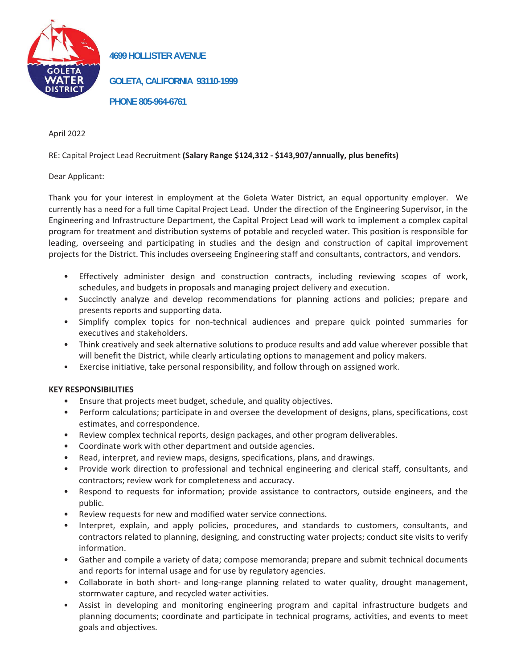

28. **4699 HOLLISTER AVENUE**

**GOLETA, CALIFORNIA 93110-1999**

**PHONE 805-964-6761**

April 2022

RE: Capital Project Lead Recruitment **(Salary Range \$124,312 - \$143,907/annually, plus benefits)** 

#### Dear Applicant:

Thank you for your interest in employment at the Goleta Water District, an equal opportunity employer. We currently has a need for a full time Capital Project Lead. Under the direction of the Engineering Supervisor, in the Engineering and Infrastructure Department, the Capital Project Lead will work to implement a complex capital program for treatment and distribution systems of potable and recycled water. This position is responsible for leading, overseeing and participating in studies and the design and construction of capital improvement projects for the District. This includes overseeing Engineering staff and consultants, contractors, and vendors.

- Effectively administer design and construction contracts, including reviewing scopes of work, schedules, and budgets in proposals and managing project delivery and execution.
- Succinctly analyze and develop recommendations for planning actions and policies; prepare and presents reports and supporting data.
- Simplify complex topics for non-technical audiences and prepare quick pointed summaries for executives and stakeholders.
- Think creatively and seek alternative solutions to produce results and add value wherever possible that will benefit the District, while clearly articulating options to management and policy makers.
- Exercise initiative, take personal responsibility, and follow through on assigned work.

#### **KEY RESPONSIBILITIES**

- Ensure that projects meet budget, schedule, and quality objectives.
- Perform calculations; participate in and oversee the development of designs, plans, specifications, cost estimates, and correspondence.
- Review complex technical reports, design packages, and other program deliverables.
- Coordinate work with other department and outside agencies.
- Read, interpret, and review maps, designs, specifications, plans, and drawings.
- Provide work direction to professional and technical engineering and clerical staff, consultants, and contractors; review work for completeness and accuracy.
- Respond to requests for information; provide assistance to contractors, outside engineers, and the public.
- Review requests for new and modified water service connections.
- Interpret, explain, and apply policies, procedures, and standards to customers, consultants, and contractors related to planning, designing, and constructing water projects; conduct site visits to verify information.
- Gather and compile a variety of data; compose memoranda; prepare and submit technical documents and reports for internal usage and for use by regulatory agencies.
- Collaborate in both short- and long-range planning related to water quality, drought management, stormwater capture, and recycled water activities.
- Assist in developing and monitoring engineering program and capital infrastructure budgets and planning documents; coordinate and participate in technical programs, activities, and events to meet goals and objectives.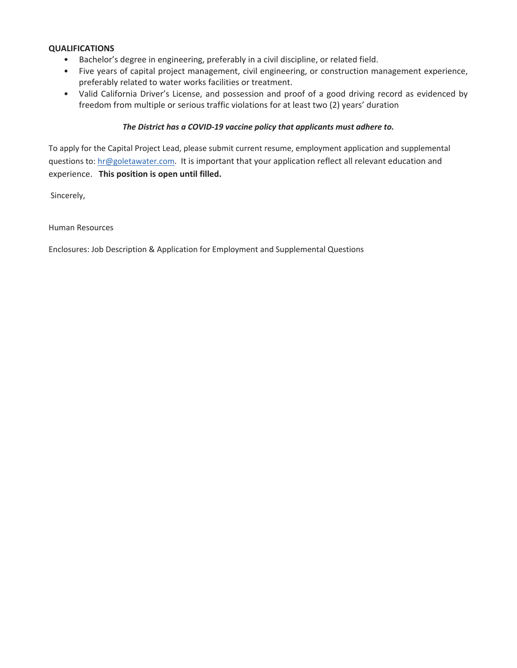#### **QUALIFICATIONS**

- Bachelor's degree in engineering, preferably in a civil discipline, or related field.
- Five years of capital project management, civil engineering, or construction management experience, preferably related to water works facilities or treatment.
- Valid California Driver's License, and possession and proof of a good driving record as evidenced by freedom from multiple or serious traffic violations for at least two (2) years' duration

#### *The District has a COVID-19 vaccine policy that applicants must adhere to.*

To apply for the Capital Project Lead, please submit current resume, employment application and supplemental questions to: hr@goletawater.com. It is important that your application reflect all relevant education and experience. **This position is open until filled.**

Sincerely,

Human Resources

Enclosures: Job Description & Application for Employment and Supplemental Questions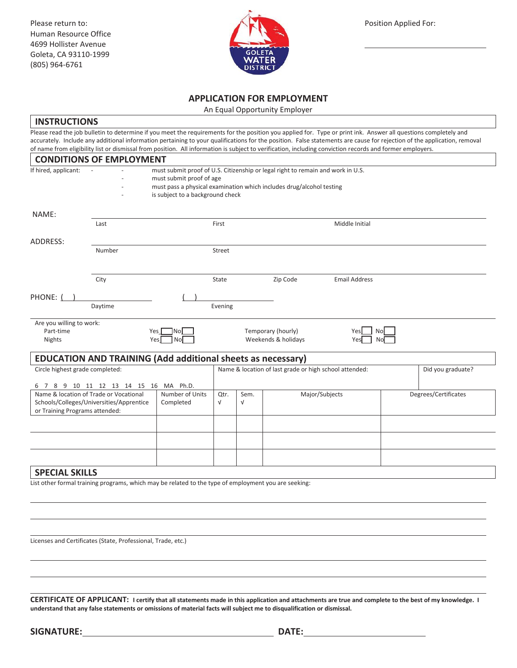Please return to: Physical Applied For: Position Applied For: Position Applied For: Human Resource Office 4699 Hollister Avenue Goleta, CA 93110-1999 (805) 964-6761



#### **APPLICATION FOR EMPLOYMENT**

An Equal Opportunity Employer

#### **INSTRUCTIONS**

Please read the job bulletin to determine if you meet the requirements for the position you applied for. Type or print ink. Answer all questions completely and accurately. Include any additional information pertaining to your qualifications for the position. False statements are cause for rejection of the application, removal of name from eligibility list or dismissal from position. All information is subject to verification, including conviction records and former employers.

|                                                                                                                                                                                               | <b>CONDITIONS OF EMPLOYMENT</b>                                                                                                                                                                                         |                    |                                                        |                |                                           |                         |                   |  |
|-----------------------------------------------------------------------------------------------------------------------------------------------------------------------------------------------|-------------------------------------------------------------------------------------------------------------------------------------------------------------------------------------------------------------------------|--------------------|--------------------------------------------------------|----------------|-------------------------------------------|-------------------------|-------------------|--|
| If hired, applicant:                                                                                                                                                                          | must submit proof of U.S. Citizenship or legal right to remain and work in U.S.<br>must submit proof of age<br>must pass a physical examination which includes drug/alcohol testing<br>is subject to a background check |                    |                                                        |                |                                           |                         |                   |  |
| NAME:                                                                                                                                                                                         |                                                                                                                                                                                                                         |                    |                                                        |                |                                           |                         |                   |  |
|                                                                                                                                                                                               | Last                                                                                                                                                                                                                    |                    | First                                                  |                |                                           | Middle Initial          |                   |  |
| ADDRESS:                                                                                                                                                                                      |                                                                                                                                                                                                                         |                    |                                                        |                |                                           |                         |                   |  |
|                                                                                                                                                                                               | Number                                                                                                                                                                                                                  |                    | Street                                                 |                |                                           |                         |                   |  |
|                                                                                                                                                                                               | City                                                                                                                                                                                                                    |                    | State                                                  |                | Zip Code                                  | <b>Email Address</b>    |                   |  |
| PHONE:                                                                                                                                                                                        |                                                                                                                                                                                                                         |                    |                                                        |                |                                           |                         |                   |  |
|                                                                                                                                                                                               | Daytime                                                                                                                                                                                                                 |                    | Evening                                                |                |                                           |                         |                   |  |
| Are you willing to work:<br>Part-time<br>Nights                                                                                                                                               | Yes I<br>Yes                                                                                                                                                                                                            | TNol<br>l Nol      |                                                        |                | Temporary (hourly)<br>Weekends & holidays | No<br>Yesl<br>No<br>Yes |                   |  |
|                                                                                                                                                                                               | <b>EDUCATION AND TRAINING (Add additional sheets as necessary)</b>                                                                                                                                                      |                    |                                                        |                |                                           |                         |                   |  |
| Circle highest grade completed:                                                                                                                                                               |                                                                                                                                                                                                                         |                    | Name & location of last grade or high school attended: |                |                                           |                         | Did you graduate? |  |
| 6 7 8 9 10 11 12 13 14 15 16 MA Ph.D.<br>Name & location of Trade or Vocational<br>Number of Units<br>Schools/Colleges/Universities/Apprentice<br>Completed<br>or Training Programs attended: |                                                                                                                                                                                                                         | Qtr.<br>$\sqrt{ }$ | Sem.<br>$\sqrt{}$                                      | Major/Subjects |                                           | Degrees/Certificates    |                   |  |
|                                                                                                                                                                                               |                                                                                                                                                                                                                         |                    |                                                        |                |                                           |                         |                   |  |
|                                                                                                                                                                                               |                                                                                                                                                                                                                         |                    |                                                        |                |                                           |                         |                   |  |
|                                                                                                                                                                                               |                                                                                                                                                                                                                         |                    |                                                        |                |                                           |                         |                   |  |
| <b>SPECIAL SKILLS</b>                                                                                                                                                                         |                                                                                                                                                                                                                         |                    |                                                        |                |                                           |                         |                   |  |
|                                                                                                                                                                                               | List other formal training programs, which may be related to the type of employment you are seeking:                                                                                                                    |                    |                                                        |                |                                           |                         |                   |  |

Licenses and Certificates (State, Professional, Trade, etc.)

**CERTIFICATE OF APPLICANT: I certify that all statements made in this application and attachments are true and complete to the best of my knowledge. I understand that any false statements or omissions of material facts will subject me to disqualification or dismissal.**

 $\overline{a}$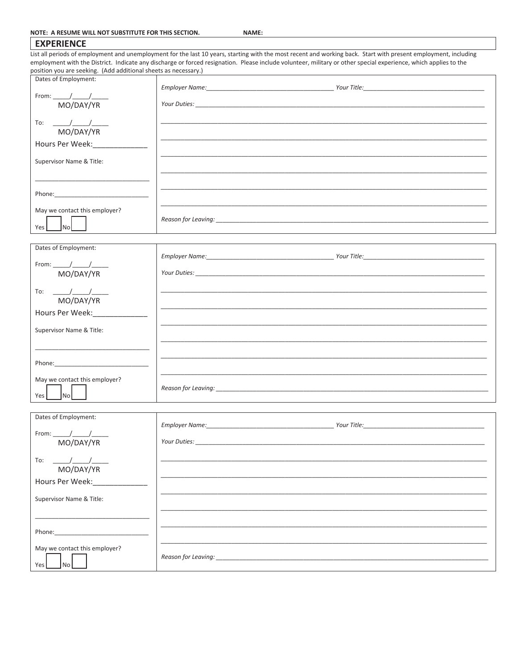| <b>EXPERIENCE</b>                                                                       |                                                                                                                                                                                                                                    |
|-----------------------------------------------------------------------------------------|------------------------------------------------------------------------------------------------------------------------------------------------------------------------------------------------------------------------------------|
|                                                                                         | List all periods of employment and unemployment for the last 10 years, starting with the most recent and working back. Start with present employment, including                                                                    |
|                                                                                         | employment with the District. Indicate any discharge or forced resignation. Please include volunteer, military or other special experience, which applies to the                                                                   |
| position you are seeking. (Add additional sheets as necessary.)<br>Dates of Employment: |                                                                                                                                                                                                                                    |
|                                                                                         |                                                                                                                                                                                                                                    |
|                                                                                         |                                                                                                                                                                                                                                    |
| MO/DAY/YR                                                                               |                                                                                                                                                                                                                                    |
|                                                                                         |                                                                                                                                                                                                                                    |
|                                                                                         |                                                                                                                                                                                                                                    |
| MO/DAY/YR                                                                               |                                                                                                                                                                                                                                    |
| Hours Per Week: _____________                                                           |                                                                                                                                                                                                                                    |
|                                                                                         |                                                                                                                                                                                                                                    |
| Supervisor Name & Title:                                                                |                                                                                                                                                                                                                                    |
|                                                                                         |                                                                                                                                                                                                                                    |
|                                                                                         |                                                                                                                                                                                                                                    |
|                                                                                         |                                                                                                                                                                                                                                    |
|                                                                                         |                                                                                                                                                                                                                                    |
| May we contact this employer?                                                           |                                                                                                                                                                                                                                    |
|                                                                                         |                                                                                                                                                                                                                                    |
| $\vert$ No $\vert$<br>Yes                                                               |                                                                                                                                                                                                                                    |
|                                                                                         |                                                                                                                                                                                                                                    |
| Dates of Employment:                                                                    |                                                                                                                                                                                                                                    |
|                                                                                         |                                                                                                                                                                                                                                    |
|                                                                                         |                                                                                                                                                                                                                                    |
| MO/DAY/YR                                                                               |                                                                                                                                                                                                                                    |
|                                                                                         |                                                                                                                                                                                                                                    |
|                                                                                         |                                                                                                                                                                                                                                    |
| MO/DAY/YR                                                                               |                                                                                                                                                                                                                                    |
| Hours Per Week:                                                                         |                                                                                                                                                                                                                                    |
|                                                                                         |                                                                                                                                                                                                                                    |
| Supervisor Name & Title:                                                                |                                                                                                                                                                                                                                    |
|                                                                                         |                                                                                                                                                                                                                                    |
|                                                                                         |                                                                                                                                                                                                                                    |
|                                                                                         |                                                                                                                                                                                                                                    |
|                                                                                         |                                                                                                                                                                                                                                    |
| May we contact this employer?                                                           |                                                                                                                                                                                                                                    |
|                                                                                         |                                                                                                                                                                                                                                    |
| Inol<br>Yes I                                                                           |                                                                                                                                                                                                                                    |
|                                                                                         |                                                                                                                                                                                                                                    |
| Dates of Employment:                                                                    |                                                                                                                                                                                                                                    |
|                                                                                         |                                                                                                                                                                                                                                    |
| From: $\frac{\gamma}{\gamma}$                                                           |                                                                                                                                                                                                                                    |
| MO/DAY/YR                                                                               | <b>Your Duties: Contract Contract Contract Contract Contract Contract Contract Contract Contract Contract Contract Contract Contract Contract Contract Contract Contract Contract Contract Contract Contract Contract Contract</b> |
|                                                                                         |                                                                                                                                                                                                                                    |
| To:                                                                                     |                                                                                                                                                                                                                                    |
| MO/DAY/YR                                                                               |                                                                                                                                                                                                                                    |
| Hours Per Week: <b>Marken</b>                                                           |                                                                                                                                                                                                                                    |
|                                                                                         |                                                                                                                                                                                                                                    |
| Supervisor Name & Title:                                                                |                                                                                                                                                                                                                                    |
|                                                                                         |                                                                                                                                                                                                                                    |

Phone:

May we contact this employer?

Reason for Leaving:

Yes No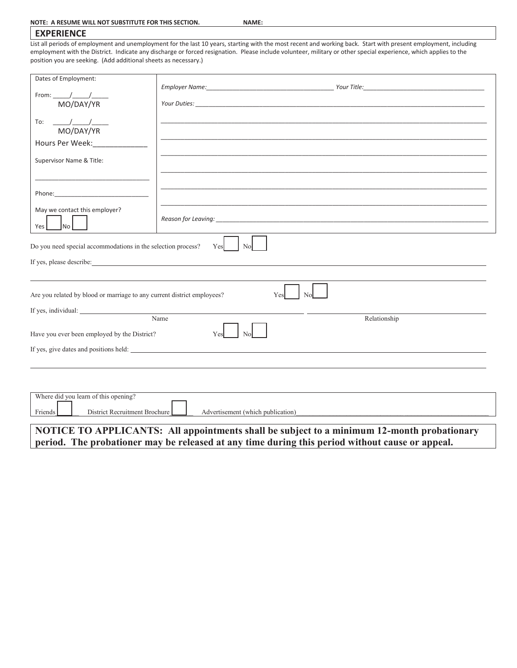#### **EXPERIENCE**

List all periods of employment and unemployment for the last 10 years, starting with the most recent and working back. Start with present employment, including employment with the District. Indicate any discharge or forced resignation. Please include volunteer, military or other special experience, which applies to the position you are seeking. (Add additional sheets as necessary.)

| Dates of Employment:                                                    |                                                                                                                                                                                                                                |                                                                                                 |  |
|-------------------------------------------------------------------------|--------------------------------------------------------------------------------------------------------------------------------------------------------------------------------------------------------------------------------|-------------------------------------------------------------------------------------------------|--|
| From: $\frac{1}{\sqrt{1-\frac{1}{2}}}$<br>MO/DAY/YR                     |                                                                                                                                                                                                                                |                                                                                                 |  |
|                                                                         |                                                                                                                                                                                                                                |                                                                                                 |  |
| $\begin{array}{c c} \hline \end{array}$<br>To:<br>MO/DAY/YR             |                                                                                                                                                                                                                                |                                                                                                 |  |
| Hours Per Week: New York                                                |                                                                                                                                                                                                                                |                                                                                                 |  |
| Supervisor Name & Title:                                                |                                                                                                                                                                                                                                |                                                                                                 |  |
|                                                                         |                                                                                                                                                                                                                                |                                                                                                 |  |
|                                                                         |                                                                                                                                                                                                                                |                                                                                                 |  |
| May we contact this employer?                                           |                                                                                                                                                                                                                                |                                                                                                 |  |
| $\mathsf{no}\,\mathsf{l}$<br>Yes                                        |                                                                                                                                                                                                                                |                                                                                                 |  |
| Do you need special accommodations in the selection process?            | No<br>Yes                                                                                                                                                                                                                      |                                                                                                 |  |
|                                                                         | If yes, please describe: Letters and the state of the state of the state of the state of the state of the state of the state of the state of the state of the state of the state of the state of the state of the state of the |                                                                                                 |  |
|                                                                         |                                                                                                                                                                                                                                |                                                                                                 |  |
| Are you related by blood or marriage to any current district employees? |                                                                                                                                                                                                                                | N <sub>o</sub><br>Yes                                                                           |  |
|                                                                         |                                                                                                                                                                                                                                |                                                                                                 |  |
|                                                                         | Name                                                                                                                                                                                                                           | Relationship                                                                                    |  |
| Have you ever been employed by the District?                            | Yes<br>No                                                                                                                                                                                                                      |                                                                                                 |  |
|                                                                         | If yes, give dates and positions held:                                                                                                                                                                                         |                                                                                                 |  |
|                                                                         |                                                                                                                                                                                                                                |                                                                                                 |  |
|                                                                         |                                                                                                                                                                                                                                |                                                                                                 |  |
| Where did you learn of this opening?                                    |                                                                                                                                                                                                                                |                                                                                                 |  |
| District Recruitment Brochure<br>Friends                                | Advertisement (which publication)                                                                                                                                                                                              |                                                                                                 |  |
|                                                                         |                                                                                                                                                                                                                                | NOTICE TO APPLICANTS: All appointments shall be subject to a minimum 12-month probationary      |  |
|                                                                         |                                                                                                                                                                                                                                | period. The probationer may be released at any time during this period without cause or appeal. |  |